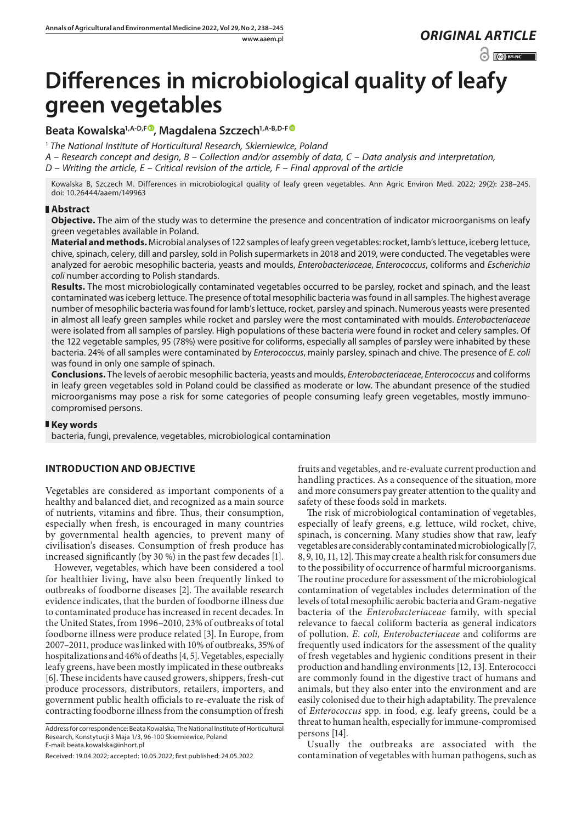$\odot$   $\odot$  BY-NC

# **Differences in microbiological quality of leafy green vegetables**

**Beata Kowalska1,A-D,F [,](https://orcid.org/0000-0001-7067-3233) Magdalena Szczech1,A-B,D-F**

<sup>1</sup> *The National Institute of Horticultural Research, Skierniewice, Poland*

*A – Research concept and design, B – Collection and/or assembly of data, C – Data analysis and interpretation,* 

*D – Writing the article, E – Critical revision of the article, F – Final approval of the article*

Kowalska B, Szczech M. Differences in microbiological quality of leafy green vegetables. Ann Agric Environ Med. 2022; 29(2): 238–245. doi: 10.26444/aaem/149963

## **Abstract**

**Objective.** The aim of the study was to determine the presence and concentration of indicator microorganisms on leafy green vegetables available in Poland.

**Material and methods.** Microbial analyses of 122 samples of leafy green vegetables: rocket, lamb's lettuce, iceberg lettuce, chive, spinach, celery, dill and parsley, sold in Polish supermarkets in 2018 and 2019, were conducted. The vegetables were analyzed for aerobic mesophilic bacteria, yeasts and moulds, *Enterobacteriaceae*, *Enterococcus*, coliforms and *Escherichia coli* number according to Polish standards.

**Results.** The most microbiologically contaminated vegetables occurred to be parsley, rocket and spinach, and the least contaminated was iceberg lettuce. The presence of total mesophilic bacteria was found in all samples. The highest average number of mesophilic bacteria was found for lamb's lettuce, rocket, parsley and spinach. Numerous yeasts were presented in almost all leafy green samples while rocket and parsley were the most contaminated with moulds. *Enterobacteriaceae* were isolated from all samples of parsley. High populations of these bacteria were found in rocket and celery samples. Of the 122 vegetable samples, 95 (78%) were positive for coliforms, especially all samples of parsley were inhabited by these bacteria. 24% of all samples were contaminated by *Enterococcus*, mainly parsley, spinach and chive. The presence of *E. coli* was found in only one sample of spinach.

**Conclusions.** The levels of aerobic mesophilic bacteria, yeasts and moulds, *Enterobacteriaceae*, *Enterococcus* and coliforms in leafy green vegetables sold in Poland could be classified as moderate or low. The abundant presence of the studied microorganisms may pose a risk for some categories of people consuming leafy green vegetables, mostly immunocompromised persons.

## **Key words**

bacteria, fungi, prevalence, vegetables, microbiological contamination

## **INTRODUCTION AND OBJECTIVE**

Vegetables are considered as important components of a healthy and balanced diet, and recognized as a main source of nutrients, vitamins and fibre. Thus, their consumption, especially when fresh, is encouraged in many countries by governmental health agencies, to prevent many of civilisation's diseases. Consumption of fresh produce has increased significantly (by 30 %) in the past few decades [1].

However, vegetables, which have been considered a tool for healthier living, have also been frequently linked to outbreaks of foodborne diseases [2]. The available research evidence indicates, that the burden of foodborne illness due to contaminated produce has increased in recent decades. In the United States, from 1996–2010, 23% of outbreaks of total foodborne illness were produce related [3]. In Europe, from 2007–2011, produce was linked with 10% of outbreaks, 35% of hospitalizations and 46% of deaths [4, 5]. Vegetables, especially leafy greens, have been mostly implicated in these outbreaks [6]. These incidents have caused growers, shippers, fresh-cut produce processors, distributors, retailers, importers, and government public health officials to re-evaluate the risk of contracting foodborne illness from the consumption of fresh

fruits and vegetables, and re-evaluate current production and handling practices. As a consequence of the situation, more and more consumers pay greater attention to the quality and safety of these foods sold in markets.

The risk of microbiological contamination of vegetables, especially of leafy greens, e.g. lettuce, wild rocket, chive, spinach, is concerning. Many studies show that raw, leafy vegetables are considerably contaminated microbiologically [7, 8, 9, 10, 11, 12]. This may create a health risk for consumers due to the possibility of occurrence of harmful microorganisms. The routine procedure for assessment of the microbiological contamination of vegetables includes determination of the levels of total mesophilic aerobic bacteria and Gram-negative bacteria of the *Enterobacteriaceae* family, with special relevance to faecal coliform bacteria as general indicators of pollution. *E. coli, Enterobacteriaceae* and coliforms are frequently used indicators for the assessment of the quality of fresh vegetables and hygienic conditions present in their production and handling environments [12, 13]. Enterococci are commonly found in the digestive tract of humans and animals, but they also enter into the environment and are easily colonised due to their high adaptability. The prevalence of *Enterococcus* spp. in food, e.g. leafy greens, could be a threat to human health, especially for immune-compromised persons [14].

Usually the outbreaks are associated with the contamination of vegetables with human pathogens, such as

Address for correspondence: Beata Kowalska, The National Institute of Horticultural Research, Konstytucji 3 Maja 1/3, 96-100 Skierniewice, Poland E-mail: beata.kowalska@inhort.pl

Received: 19.04.2022; accepted: 10.05.2022; first published: 24.05.2022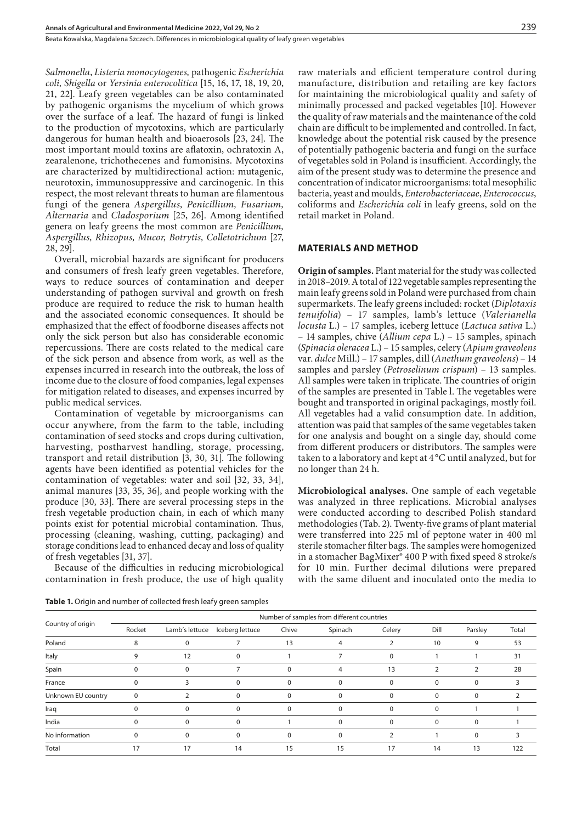*Salmonella*, *Listeria monocytogenes,* pathogenic *Escherichia coli, Shigella* or *Yersinia enterocolitica* [15, 16, 17, 18, 19, 20, 21, 22]. Leafy green vegetables can be also contaminated by pathogenic organisms the mycelium of which grows over the surface of a leaf. The hazard of fungi is linked to the production of mycotoxins, which are particularly dangerous for human health and bioaerosols [23, 24]. The most important mould toxins are aflatoxin, ochratoxin A, zearalenone, trichothecenes and fumonisins. Mycotoxins are characterized by multidirectional action: mutagenic, neurotoxin, immunosuppressive and carcinogenic. In this respect, the most relevant threats to human are filamentous fungi of the genera *Aspergillus, Penicillium, Fusarium, Alternaria* and *Cladosporium* [25, 26]. Among identified genera on leafy greens the most common are *Penicillium, Aspergillus, Rhizopus, Mucor, Botrytis, Colletotrichum* [27, 28, 29].

Overall, microbial hazards are significant for producers and consumers of fresh leafy green vegetables. Therefore, ways to reduce sources of contamination and deeper understanding of pathogen survival and growth on fresh produce are required to reduce the risk to human health and the associated economic consequences. It should be emphasized that the effect of foodborne diseases affects not only the sick person but also has considerable economic repercussions. There are costs related to the medical care of the sick person and absence from work, as well as the expenses incurred in research into the outbreak, the loss of income due to the closure of food companies, legal expenses for mitigation related to diseases, and expenses incurred by public medical services.

Contamination of vegetable by microorganisms can occur anywhere, from the farm to the table, including contamination of seed stocks and crops during cultivation, harvesting, postharvest handling, storage, processing, transport and retail distribution [3, 30, 31]. The following agents have been identified as potential vehicles for the contamination of vegetables: water and soil [32, 33, 34], animal manures [33, 35, 36], and people working with the produce [30, 33]. There are several processing steps in the fresh vegetable production chain, in each of which many points exist for potential microbial contamination. Thus, processing (cleaning, washing, cutting, packaging) and storage conditions lead to enhanced decay and loss of quality of fresh vegetables [31, 37].

Because of the difficulties in reducing microbiological contamination in fresh produce, the use of high quality raw materials and efficient temperature control during manufacture, distribution and retailing are key factors for maintaining the microbiological quality and safety of minimally processed and packed vegetables [10]. However the quality of raw materials and the maintenance of the cold chain are difficult to be implemented and controlled. In fact, knowledge about the potential risk caused by the presence of potentially pathogenic bacteria and fungi on the surface of vegetables sold in Poland is insufficient. Accordingly, the aim of the present study was to determine the presence and concentration of indicator microorganisms: total mesophilic bacteria, yeast and moulds, *Enterobacteriaceae*, *Enterococcus*, coliforms and *Escherichia coli* in leafy greens, sold on the retail market in Poland.

#### **MATERIALS AND METHOD**

**Origin of samples.** Plant material for the study was collected in 2018–2019. A total of 122 vegetable samples representing the main leafy greens sold in Poland were purchased from chain supermarkets. The leafy greens included: rocket (*Diplotaxis tenuifolia*) – 17 samples, lamb's lettuce (*Valerianella locusta* L.) – 17 samples, iceberg lettuce (*Lactuca sativa* L.) – 14 samples, chive (*Allium cepa* L.) – 15 samples, spinach (*Spinacia oleracea* L.) – 15 samples, celery (*Apium graveolens* var. *dulce* Mill.) – 17 samples, dill (*Anethum graveolens*) – 14 samples and parsley (*Petroselinum crispum*) – 13 samples. All samples were taken in triplicate. The countries of origin of the samples are presented in Table l. The vegetables were bought and transported in original packagings, mostly foil. All vegetables had a valid consumption date. In addition, attention was paid that samples of the same vegetables taken for one analysis and bought on a single day, should come from different producers or distributors. The samples were taken to a laboratory and kept at 4 °C until analyzed, but for no longer than 24 h.

**Microbiological analyses.** One sample of each vegetable was analyzed in three replications. Microbial analyses were conducted according to described Polish standard methodologies (Tab. 2). Twenty-five grams of plant material were transferred into 225 ml of peptone water in 400 ml sterile stomacher filter bags. The samples were homogenized in a stomacher BagMixer® 400 P with fixed speed 8 stroke/s for 10 min. Further decimal dilutions were prepared with the same diluent and inoculated onto the media to

| Country of origin  | Number of samples from different countries |                |                 |       |         |             |               |             |       |
|--------------------|--------------------------------------------|----------------|-----------------|-------|---------|-------------|---------------|-------------|-------|
|                    | Rocket                                     | Lamb's lettuce | Iceberg lettuce | Chive | Spinach | Celery      | Dill          | Parsley     | Total |
| Poland             | 8                                          | $\Omega$       |                 | 13    |         |             | 10            | 9           | 53    |
| Italy              |                                            | 12             |                 |       |         | $\Omega$    |               |             | 31    |
| Spain              | $\Omega$                                   | $\Omega$       |                 | 0     | 4       | 13          | $\mathcal{P}$ | 2           | 28    |
| France             |                                            | з              | $\Omega$        |       |         | $\Omega$    | $\Omega$      | $\Omega$    |       |
| Unknown EU country | $\Omega$                                   |                | $\Omega$        | 0     | 0       | $\mathbf 0$ | $\Omega$      | $\mathbf 0$ | 2     |
| Iraq               |                                            | $\Omega$       |                 |       |         | $\Omega$    | $\Omega$      |             |       |
| India              | $\Omega$                                   | $\Omega$       | $\Omega$        |       | 0       | $\Omega$    | $\Omega$      | $\Omega$    |       |
| No information     | $\Omega$                                   | $\Omega$       | $\Omega$        | 0     |         |             |               | $\Omega$    |       |
| Total              | 17                                         | 17             | 14              | 15    | 15      | 17          | 14            | 13          | 122   |

**Table 1.** Origin and number of collected fresh leafy green samples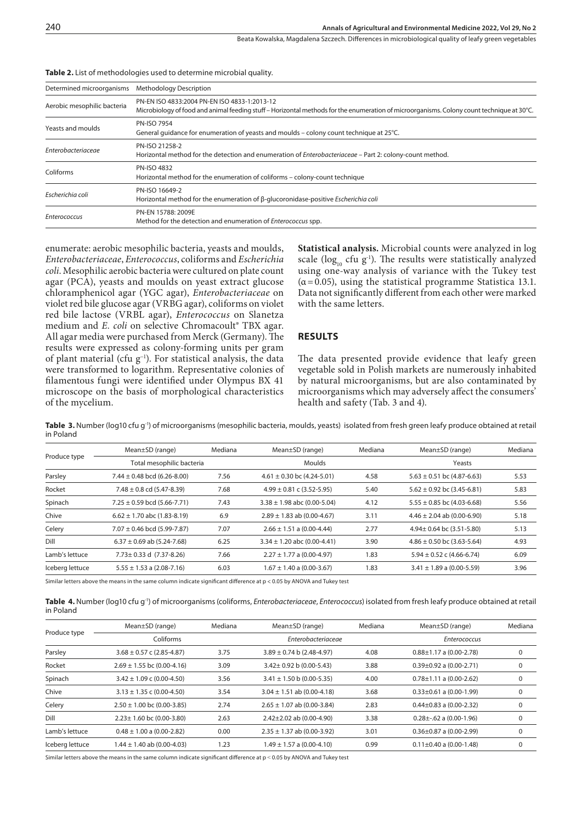Beata Kowalska, Magdalena Szczech . Differences in microbiological quality of leafy green vegetables

| Determined microorganisms   | <b>Methodology Description</b>                                                                                                            |
|-----------------------------|-------------------------------------------------------------------------------------------------------------------------------------------|
| Aerobic mesophilic bacteria | PN-EN ISO 4833:2004 PN-EN ISO 4833-1:2013-12                                                                                              |
|                             | Microbiology of food and animal feeding stuff – Horizontal methods for the enumeration of microorganisms. Colony count technique at 30°C. |
| Yeasts and moulds           | <b>PN-ISO 7954</b>                                                                                                                        |
|                             | General quidance for enumeration of yeasts and moulds - colony count technique at 25°C.                                                   |
|                             | PN-ISO 21258-2                                                                                                                            |
| Enterobacteriaceae          | Horizontal method for the detection and enumeration of <i>Enterobacteriaceae</i> – Part 2: colony-count method.                           |
| Coliforms                   | PN-ISO 4832                                                                                                                               |
|                             | Horizontal method for the enumeration of coliforms - colony-count technique                                                               |
| Escherichia coli            | PN-ISO 16649-2                                                                                                                            |
|                             | Horizontal method for the enumeration of β-glucoronidase-positive Escherichia coli                                                        |
|                             | PN-EN 15788: 2009E                                                                                                                        |
| Enterococcus                | Method for the detection and enumeration of Enterococcus spp.                                                                             |
|                             |                                                                                                                                           |

#### **Table 2.** List of methodologies used to determine microbial quality.

enumerate: aerobic mesophilic bacteria, yeasts and moulds, *Enterobacteriaceae*, *Enterococcus*, coliforms and *Escherichia coli*. Mesophilic aerobic bacteria were cultured on plate count agar (PCA), yeasts and moulds on yeast extract glucose chloramphenicol agar (YGC agar), *Enterobacteriaceae* on violet red bile glucose agar (VRBG agar), coliforms on violet red bile lactose (VRBL agar), *Enterococcus* on Slanetza medium and *E. coli* on selective Chromacoult<sup>®</sup> TBX agar. All agar media were purchased from Merck (Germany). The results were expressed as colony-forming units per gram of plant material (cfu g−1). For statistical analysis, the data were transformed to logarithm. Representative colonies of filamentous fungi were identified under Olympus BX 41 microscope on the basis of morphological characteristics of the mycelium.

**Statistical analysis.** Microbial counts were analyzed in log scale (log<sub>10</sub> cfu g<sup>-1</sup>). The results were statistically analyzed using one-way analysis of variance with the Tukey test  $(\alpha = 0.05)$ , using the statistical programme Statistica 13.1. Data not significantly different from each other were marked with the same letters.

## **RESULTS**

The data presented provide evidence that leafy green vegetable sold in Polish markets are numerously inhabited by natural microorganisms, but are also contaminated by microorganisms which may adversely affect the consumers' health and safety (Tab. 3 and 4).

Table 3. Number (log10 cfu g<sup>-1</sup>) of microorganisms (mesophilic bacteria, moulds, yeasts) isolated from fresh green leafy produce obtained at retail in Poland

| Produce type    | Mean $\pm$ SD (range)             | Mediana | Mean $\pm$ SD (range)           | Mediana | Mean $\pm$ SD (range)          | Mediana |
|-----------------|-----------------------------------|---------|---------------------------------|---------|--------------------------------|---------|
|                 | Total mesophilic bacteria         |         | Moulds                          |         | Yeasts                         |         |
| Parsley         | $7.44 \pm 0.48$ bcd (6.26-8.00)   | 7.56    | $4.61 \pm 0.30$ bc (4.24-5.01)  | 4.58    | $5.63 \pm 0.51$ bc (4.87-6.63) | 5.53    |
| Rocket          | $7.48 \pm 0.8$ cd (5.47-8.39)     | 7.68    | $4.99 \pm 0.81$ c (3.52-5.95)   | 5.40    | $5.62 \pm 0.92$ bc (3.45-6.81) | 5.83    |
| Spinach         | $7.25 \pm 0.59$ bcd (5.66-7.71)   | 7.43    | $3.38 \pm 1.98$ abc (0.00-5.04) | 4.12    | $5.55 \pm 0.85$ bc (4.03-6.68) | 5.56    |
| Chive           | $6.62 \pm 1.70$ abc (1.83-8.19)   | 6.9     | $2.89 \pm 1.83$ ab (0.00-4.67)  | 3.11    | $4.46 \pm 2.04$ ab (0.00-6.90) | 5.18    |
| Celery          | $7.07 \pm 0.46$ bcd (5.99-7.87)   | 7.07    | $2.66 \pm 1.51$ a (0.00-4.44)   | 2.77    | 4.94 ± 0.64 bc (3.51-5.80)     | 5.13    |
| Dill            | $6.37 \pm 0.69$ ab (5.24-7.68)    | 6.25    | $3.34 \pm 1.20$ abc (0.00-4.41) | 3.90    | $4.86 \pm 0.50$ bc (3.63-5.64) | 4.93    |
| Lamb's lettuce  | $7.73 \pm 0.33$ d $(7.37 - 8.26)$ | 7.66    | $2.27 \pm 1.77$ a (0.00-4.97)   | 1.83    | $5.94 \pm 0.52$ c (4.66-6.74)  | 6.09    |
| Iceberg lettuce | $5.55 \pm 1.53$ a (2.08-7.16)     | 6.03    | $1.67 \pm 1.40$ a (0.00-3.67)   | 1.83    | $3.41 \pm 1.89$ a (0.00-5.59)  | 3.96    |
|                 |                                   |         |                                 |         |                                |         |

Similar letters above the means in the same column indicate significant difference at p < 0.05 by ANOVA and Tukey test

**Table 4.** Number (log10 cfu g-1) of microorganisms (coliforms, *Enterobacteriaceae*, *Enterococcus*) isolated from fresh leafy produce obtained at retail in Poland

| Produce type    | Mean $\pm$ SD (range)          | Mediana | Mean $\pm$ SD (range)          | Mediana | Mean $\pm$ SD (range)             | Mediana |
|-----------------|--------------------------------|---------|--------------------------------|---------|-----------------------------------|---------|
|                 | Coliforms                      |         | Enterobacteriaceae             |         | Enterococcus                      |         |
| Parsley         | $3.68 \pm 0.57$ c (2.85-4.87)  | 3.75    | $3.89 \pm 0.74$ b (2.48-4.97)  | 4.08    | $0.88 \pm 1.17$ a (0.00-2.78)     | 0       |
| Rocket          | $2.69 \pm 1.55$ bc (0.00-4.16) | 3.09    | $3.42 \pm 0.92$ b (0.00-5.43)  | 3.88    | $0.39 \pm 0.92$ a (0.00-2.71)     | 0       |
| Spinach         | $3.42 \pm 1.09$ c (0.00-4.50)  | 3.56    | $3.41 \pm 1.50$ b (0.00-5.35)  | 4.00    | $0.78 \pm 1.11$ a $(0.00 - 2.62)$ | 0       |
| Chive           | $3.13 \pm 1.35$ c (0.00-4.50)  | 3.54    | $3.04 \pm 1.51$ ab (0.00-4.18) | 3.68    | $0.33 \pm 0.61$ a (0.00-1.99)     | 0       |
| Celery          | $2.50 \pm 1.00$ bc (0.00-3.85) | 2.74    | $2.65 \pm 1.07$ ab (0.00-3.84) | 2.83    | $0.44\pm0.83$ a $(0.00-2.32)$     | 0       |
| Dill            | $2.23 \pm 1.60$ bc (0.00-3.80) | 2.63    | $2.42 \pm 2.02$ ab (0.00-4.90) | 3.38    | $0.28 \pm 0.62$ a (0.00-1.96)     | 0       |
| Lamb's lettuce  | $0.48 \pm 1.00$ a (0.00-2.82)  | 0.00    | $2.35 \pm 1.37$ ab (0.00-3.92) | 3.01    | $0.36 \pm 0.87$ a (0.00-2.99)     | 0       |
| Iceberg lettuce | $1.44 \pm 1.40$ ab (0.00-4.03) | 1.23    | $1.49 \pm 1.57$ a (0.00-4.10)  | 0.99    | $0.11 \pm 0.40$ a (0.00-1.48)     | 0       |

Similar letters above the means in the same column indicate significant difference at p < 0.05 by ANOVA and Tukey test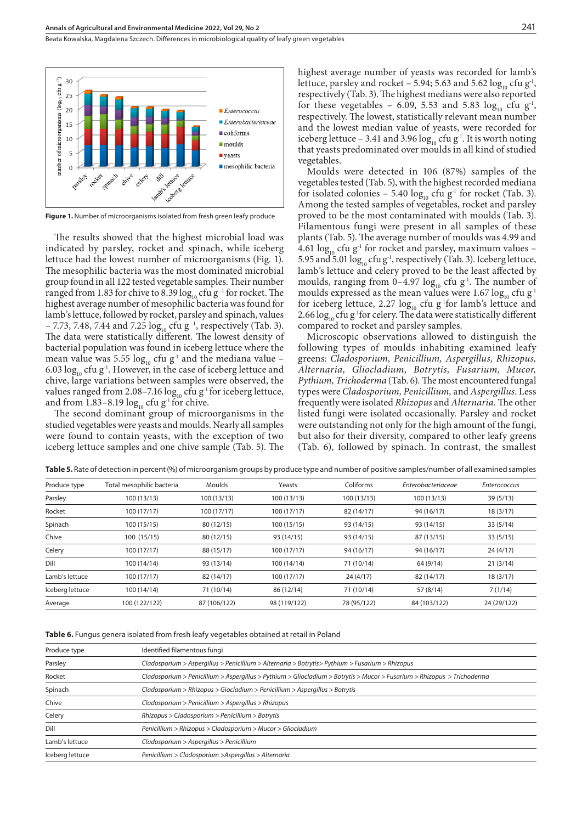Beata Kowalska, Magdalena Szczech . Differences in microbiological quality of leafy green vegetables



**Figure 1.** Number of microorganisms isolated from fresh green leafy produce

The results showed that the highest microbial load was indicated by parsley, rocket and spinach, while iceberg lettuce had the lowest number of microorganisms (Fig. 1). The mesophilic bacteria was the most dominated microbial group found in all 122 tested vegetable samples. Their number ranged from 1.83 for chive to 8.39  $log_{10}$  cfu g<sup>-1</sup> for rocket. The highest average number of mesophilic bacteria was found for lamb's lettuce, followed by rocket, parsley and spinach, values  $-7.73$ , 7.48, 7.44 and 7.25  $\log_{10}$  cfu g<sup>-1</sup>, respectively (Tab. 3). The data were statistically different. The lowest density of bacterial population was found in iceberg lettuce where the mean value was 5.55  $log_{10}$  cfu g<sup>-1</sup> and the mediana value – 6.03  $\log_{10}$  cfu g<sup>-1</sup>. However, in the case of iceberg lettuce and chive, large variations between samples were observed, the values ranged from 2.08-7.16  $\log_{10}$  cfu g<sup>-1</sup> for iceberg lettuce, and from  $1.83-8.19 \log_{10} c$  fu g<sup>-1</sup> for chive.

The second dominant group of microorganisms in the studied vegetables were yeasts and moulds. Nearly all samples were found to contain yeasts, with the exception of two iceberg lettuce samples and one chive sample (Tab. 5). The highest average number of yeasts was recorded for lamb's lettuce, parsley and rocket – 5.94; 5.63 and 5.62  $log_{10}$  cfu g<sup>-1</sup>, respectively (Tab. 3). The highest medians were also reported for these vegetables – 6.09, 5.53 and 5.83  $log_{10}$  cfu g<sup>-1</sup>, respectively. The lowest, statistically relevant mean number and the lowest median value of yeasts, were recorded for iceberg lettuce – 3.41 and 3.96  $\log_{10}$  cfu g<sup>-1</sup>. It is worth noting that yeasts predominated over moulds in all kind of studied vegetables.

Moulds were detected in 106 (87%) samples of the vegetables tested (Tab. 5), with the highest recorded mediana for isolated colonies – 5.40  $log_{10}$  cfu g<sup>-1</sup> for rocket (Tab. 3). Among the tested samples of vegetables, rocket and parsley proved to be the most contaminated with moulds (Tab. 3). Filamentous fungi were present in all samples of these plants (Tab. 5). The average number of moulds was 4.99 and 4.61  $\log_{10}$  cfu g<sup>-1</sup> for rocket and parsley, maximum values – 5.95 and 5.01  $\log_{10}$  cfu g<sup>-1</sup>, respectively (Tab. 3). Iceberg lettuce, lamb's lettuce and celery proved to be the least affected by moulds, ranging from 0–4.97  $log_{10}$  cfu g<sup>-1</sup>. The number of moulds expressed as the mean values were 1.67  $log_{10}$  cfu g<sup>-1</sup> for iceberg lettuce, 2.27  $log_{10}$  cfu g<sup>-1</sup>for lamb's lettuce and 2.66  $\log_{10}$  cfu g<sup>1</sup>for celery. The data were statistically different compared to rocket and parsley samples.

Microscopic observations allowed to distinguish the following types of moulds inhabiting examined leafy greens: *Cladosporium, Penicillium, Aspergillus, Rhizopus, Alternaria, Gliocladium, Botrytis, Fusarium, Mucor, Pythium, Trichoderma* (Tab. 6)*.* The most encountered fungal types were *Cladosporium, Penicillium,* and *Aspergillus*. Less frequently were isolated *Rhizopus* and *Alternaria.* The other listed fungi were isolated occasionally. Parsley and rocket were outstanding not only for the high amount of the fungi, but also for their diversity, compared to other leafy greens (Tab. 6), followed by spinach. In contrast, the smallest

| Produce type    | Total mesophilic bacteria | <b>Moulds</b> | Yeasts       | Coliforms   | Enterobacteriaceae | <b>Enterococcus</b> |
|-----------------|---------------------------|---------------|--------------|-------------|--------------------|---------------------|
| Parsley         | 100(13/13)                | 100 (13/13)   | 100(13/13)   | 100 (13/13) | 100 (13/13)        | 39(5/13)            |
| Rocket          | 100(17/17)                | 100(17/17)    | 100 (17/17)  | 82 (14/17)  | 94 (16/17)         | 18(3/17)            |
| Spinach         | 100(15/15)                | 80 (12/15)    | 100 (15/15)  | 93 (14/15)  | 93 (14/15)         | 33(5/14)            |
| Chive           | 100 (15/15)               | 80 (12/15)    | 93 (14/15)   | 93 (14/15)  | 87 (13/15)         | 33(5/15)            |
| Celery          | 100 (17/17)               | 88 (15/17)    | 100 (17/17)  | 94 (16/17)  | 94 (16/17)         | 24(4/17)            |
| Dill            | 100 (14/14)               | 93 (13/14)    | 100 (14/14)  | 71 (10/14)  | 64 (9/14)          | 21(3/14)            |
| Lamb's lettuce  | 100 (17/17)               | 82 (14/17)    | 100 (17/17)  | 24(4/17)    | 82 (14/17)         | 18(3/17)            |
| Iceberg lettuce | 100 (14/14)               | 71 (10/14)    | 86 (12/14)   | 71 (10/14)  | 57 (8/14)          | 7(1/14)             |
| Average         | 100 (122/122)             | 87 (106/122)  | 98 (119/122) | 78 (95/122) | 84 (103/122)       | 24 (29/122)         |
|                 |                           |               |              |             |                    |                     |

**Table 5.** Rate of detection in percent (%) of microorganism groups by produce type and number of positive samples/number of all examined samples

**Table 6.** Fungus genera isolated from fresh leafy vegetables obtained at retail in Poland

| Produce type    | Identified filamentous fungi                                                                                            |  |  |  |  |
|-----------------|-------------------------------------------------------------------------------------------------------------------------|--|--|--|--|
| Parsley         | Cladosporium > Aspergillus > Penicillium > Alternaria > Botrytis> Pythium > Fusarium > Rhizopus                         |  |  |  |  |
| Rocket          | Cladosporium > Penicillium > Aspergillus > Pythium > Gliocladium > Botrytis > Mucor > Fusarium > Rhizopus > Trichoderma |  |  |  |  |
| Spinach         | Cladosporium > Rhizopus > Giocladium > Penicillium > Aspergillus > Botrytis                                             |  |  |  |  |
| Chive           | Cladosporium > Penicillium > Aspergillus > Rhizopus                                                                     |  |  |  |  |
| Celery          | $Rhizopus > Cladosporium > Penicillium > Botrytis$                                                                      |  |  |  |  |
| Dill            | Penicillium > Rhizopus > Cladosporium > Mucor > Gliocladium                                                             |  |  |  |  |
| Lamb's lettuce  | Cladosporium > Aspergillus > Penicillium                                                                                |  |  |  |  |
| Iceberg lettuce | Penicillium > Cladosporium > Aspergillus > Alternaria                                                                   |  |  |  |  |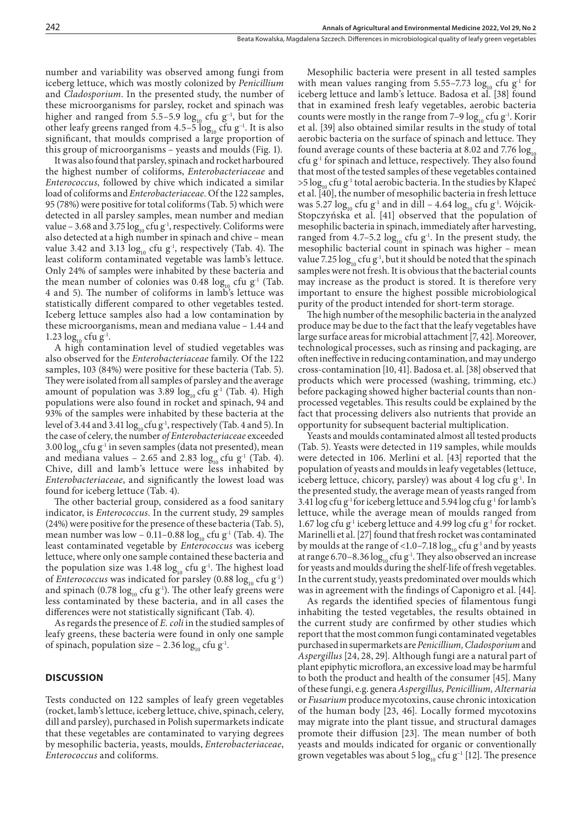number and variability was observed among fungi from iceberg lettuce, which was mostly colonized by *Penicillium*  and *Cladosporium*. In the presented study, the number of these microorganisms for parsley, rocket and spinach was higher and ranged from 5.5–5.9 log<sub>10</sub> cfu g<sup>-1</sup>, but for the other leafy greens ranged from 4.5–5 log<sub>10</sub> cfu g<sup>-1</sup>. It is also significant, that moulds comprised a large proportion of this group of microorganisms – yeasts and moulds (Fig. 1).

It was also found that parsley, spinach and rocket harboured the highest number of coliforms, *Enterobacteriaceae* and *Enterococcus,* followed by chive which indicated a similar load of coliforms and *Enterobacteriaceae.* Of the 122 samples, 95 (78%) were positive for total coliforms (Tab. 5) which were detected in all parsley samples, mean number and median value – 3.68 and 3.75 log<sub>10</sub> cfu g<sup>-1</sup>, respectively. Coliforms were also detected at a high number in spinach and chive – mean value 3.42 and 3.13  $log_{10}$  cfu g<sup>-1</sup>, respectively (Tab. 4). The least coliform contaminated vegetable was lamb's lettuce. Only 24% of samples were inhabited by these bacteria and the mean number of colonies was 0.48  $\log_{10}$  cfu g<sup>-1</sup> (Tab. 4 and 5). The number of coliforms in lamb's lettuce was statistically different compared to other vegetables tested. Iceberg lettuce samples also had a low contamination by these microorganisms, mean and mediana value – 1.44 and 1.23  $log_{10}$  cfu g<sup>-1</sup>.

A high contamination level of studied vegetables was also observed for the *Enterobacteriaceae* family*.* Of the 122 samples, 103 (84%) were positive for these bacteria (Tab. 5). They were isolated from all samples of parsley and the average amount of population was 3.89  $log_{10}$  cfu g<sup>-1</sup> (Tab. 4). High populations were also found in rocket and spinach, 94 and 93% of the samples were inhabited by these bacteria at the level of 3.44 and 3.41  $\log_{10}$  cfu g<sup>-1</sup>, respectively (Tab. 4 and 5). In the case of celery, the number *of Enterobacteriaceae* exceeded 3.00  $\log_{10}$  cfu g<sup>-1</sup> in seven samples (data not presented), mean and mediana values – 2.65 and 2.83  $log_{10}$  cfu g<sup>-1</sup> (Tab. 4). Chive, dill and lamb's lettuce were less inhabited by *Enterobacteriaceae*, and significantly the lowest load was found for iceberg lettuce (Tab. 4).

The other bacterial group, considered as a food sanitary indicator, is *Enterococcus*. In the current study, 29 samples (24%) were positive for the presence of these bacteria (Tab. 5), mean number was low – 0.11–0.88  $log_{10}$  cfu g<sup>-1</sup> (Tab. 4). The least contaminated vegetable by *Enterococcus* was iceberg lettuce, where only one sample contained these bacteria and the population size was 1.48  $log_{10}$  cfu g<sup>-1</sup>. The highest load of *Enterococcus* was indicated for parsley (0.88  $log_{10}$  cfu g<sup>-1</sup>) and spinach (0.78  $log_{10}$  cfu g<sup>-1</sup>). The other leafy greens were less contaminated by these bacteria, and in all cases the differences were not statistically significant (Tab. 4).

As regards the presence of *E. coli* in the studied samples of leafy greens, these bacteria were found in only one sample of spinach, population size – 2.36  $\log_{10}$  cfu g<sup>-1</sup>.

## **DISCUSSION**

Tests conducted on 122 samples of leafy green vegetables (rocket, lamb's lettuce, iceberg lettuce, chive, spinach, celery, dill and parsley), purchased in Polish supermarkets indicate that these vegetables are contaminated to varying degrees by mesophilic bacteria, yeasts, moulds, *Enterobacteriaceae*, *Enterococcus* and coliforms.

Mesophilic bacteria were present in all tested samples with mean values ranging from 5.55–7.73  $\log_{10}$  cfu g<sup>-1</sup> for iceberg lettuce and lamb's lettuce. Badosa et al. [38] found that in examined fresh leafy vegetables, aerobic bacteria counts were mostly in the range from 7-9  $\log_{10}$  cfu g<sup>-1</sup>. Korir et al. [39] also obtained similar results in the study of total aerobic bacteria on the surface of spinach and lettuce. They found average counts of these bacteria at 8.02 and 7.76  $log_{10}$ cfu  $g<sup>-1</sup>$  for spinach and lettuce, respectively. They also found that most of the tested samples of these vegetables contained  $>5 \log_{10}$  cfu g<sup>-1</sup> total aerobic bacteria. In the studies by Kłapeć et al. [40], the number of mesophilic bacteria in fresh lettuce was 5.27  $\log_{10}$  cfu g<sup>-1</sup> and in dill – 4.64  $\log_{10}$  cfu g<sup>-1</sup>. Wójcik-Stopczyńska et al. [41] observed that the population of mesophilic bacteria in spinach, immediately after harvesting, ranged from 4.7–5.2  $log_{10}$  cfu g<sup>-1</sup>. In the present study, the mesophilic bacterial count in spinach was higher – mean value 7.25  $\log_{10}$  cfu g<sup>-1</sup>, but it should be noted that the spinach samples were not fresh. It is obvious that the bacterial counts may increase as the product is stored. It is therefore very important to ensure the highest possible microbiological purity of the product intended for short-term storage.

The high number of the mesophilic bacteria in the analyzed produce may be due to the fact that the leafy vegetables have large surface areas for microbial attachment [7, 42]. Moreover, technological processes, such as rinsing and packaging, are often ineffective in reducing contamination, and may undergo cross-contamination [10, 41]. Badosa et. al. [38] observed that products which were processed (washing, trimming, etc.) before packaging showed higher bacterial counts than nonprocessed vegetables. This results could be explained by the fact that processing delivers also nutrients that provide an opportunity for subsequent bacterial multiplication.

Yeasts and moulds contaminated almost all tested products (Tab. 5). Yeasts were detected in 119 samples, while moulds were detected in 106. Merlini et al. [43] reported that the population of yeasts and moulds in leafy vegetables (lettuce, iceberg lettuce, chicory, parsley) was about 4 log cfu g<sup>-1</sup>. In the presented study, the average mean of yeasts ranged from 3.41 log cfu g<sup>1</sup> for iceberg lettuce and 5.94 log cfu g<sup>1</sup> for lamb's lettuce, while the average mean of moulds ranged from 1.67 log cfu g<sup>1</sup> iceberg lettuce and 4.99 log cfu g<sup>1</sup> for rocket. Marinelli et al. [27] found that fresh rocket was contaminated by moulds at the range of <1.0–7.18  $\log_{10}$  cfu g<sup>-1</sup> and by yeasts at range 6.70–8.36  $\log_{10}$  cfu g<sup>-1</sup>. They also observed an increase for yeasts and moulds during the shelf-life of fresh vegetables. In the current study, yeasts predominated over moulds which was in agreement with the findings of Caponigro et al. [44].

As regards the identified species of filamentous fungi inhabiting the tested vegetables, the results obtained in the current study are confirmed by other studies which report that the most common fungi contaminated vegetables purchased in supermarkets are *Penicillium, Cladosporium* and *Aspergillus* [24, 28, 29]*.* Although fungi are a natural part of plant epiphytic microflora, an excessive load may be harmful to both the product and health of the consumer [45]. Many of these fungi, e.g. genera *Aspergillus, Penicillium, Alternaria*  or *Fusarium* produce mycotoxins, cause chronic intoxication of the human body [23, 46]. Locally formed mycotoxins may migrate into the plant tissue, and structural damages promote their diffusion [23]. The mean number of both yeasts and moulds indicated for organic or conventionally grown vegetables was about 5  $\log_{10}$  cfu g<sup>-1</sup> [12]. The presence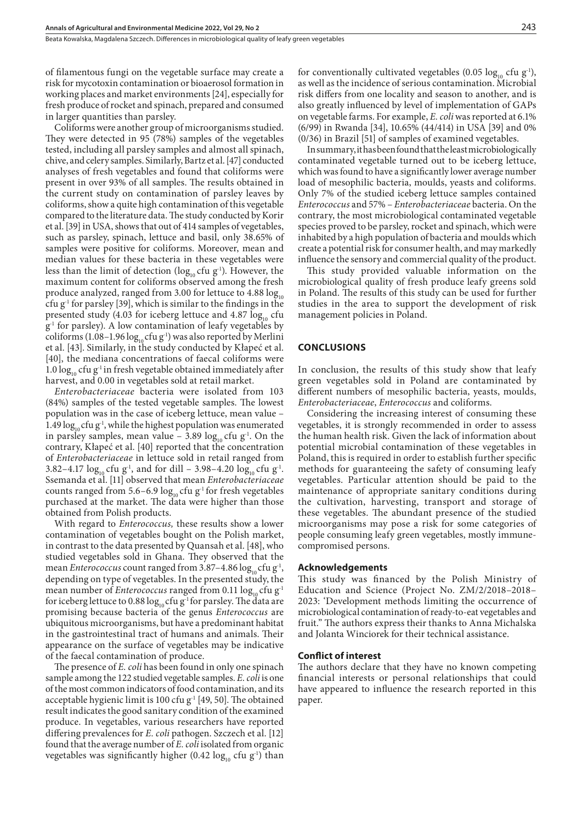Beata Kowalska, Magdalena Szczech . Differences in microbiological quality of leafy green vegetables

of filamentous fungi on the vegetable surface may create a risk for mycotoxin contamination or bioaerosol formation in working places and market environments [24], especially for fresh produce of rocket and spinach, prepared and consumed in larger quantities than parsley.

Coliforms were another group of microorganisms studied. They were detected in 95 (78%) samples of the vegetables tested, including all parsley samples and almost all spinach, chive, and celery samples. Similarly, Bartz et al. [47] conducted analyses of fresh vegetables and found that coliforms were present in over 93% of all samples. The results obtained in the current study on contamination of parsley leaves by coliforms, show a quite high contamination of this vegetable compared to the literature data. The study conducted by Korir et al. [39] in USA, shows that out of 414 samples of vegetables, such as parsley, spinach, lettuce and basil, only 38.65% of samples were positive for coliforms. Moreover, mean and median values for these bacteria in these vegetables were less than the limit of detection (log<sub>10</sub> cfu g<sup>-1</sup>). However, the maximum content for coliforms observed among the fresh produce analyzed, ranged from 3.00 for lettuce to 4.88  $log_{10}$ cfu g<sup>1</sup> for parsley [39], which is similar to the findings in the presented study (4.03 for iceberg lettuce and 4.87  $log_{10}$  cfu  $g<sup>-1</sup>$  for parsley). A low contamination of leafy vegetables by coliforms (1.08–1.96  $log<sub>10</sub>$  cfu g<sup>-1</sup>) was also reported by Merlini et al. [43]. Similarly, in the study conducted by Kłapeć et al. [40], the mediana concentrations of faecal coliforms were 1.0  $\log_{10}$  cfu g<sup>-1</sup> in fresh vegetable obtained immediately after harvest, and 0.00 in vegetables sold at retail market.

*Enterobacteriaceae* bacteria were isolated from 103 (84%) samples of the tested vegetable samples. The lowest population was in the case of iceberg lettuce, mean value – 1.49  $\log_{10}$  cfu g<sup>-1</sup>, while the highest population was enumerated in parsley samples, mean value – 3.89  $log<sub>10</sub>$  cfu g<sup>-1</sup>. On the contrary, Kłapeć et al. [40] reported that the concentration of *Enterobacteriaceae* in lettuce sold in retail ranged from 3.82–4.17  $\log_{10}$  cfu g<sup>-1</sup>, and for dill – 3.98–4.20  $\log_{10}$  cfu g<sup>-1</sup>. Ssemanda et al. [11] observed that mean *Enterobacteriaceae* counts ranged from 5.6–6.9  $log_{10}$  cfu g<sup>-1</sup> for fresh vegetables purchased at the market. The data were higher than those obtained from Polish products.

With regard to *Enterococcus,* these results show a lower contamination of vegetables bought on the Polish market, in contrast to the data presented by Quansah et al. [48], who studied vegetables sold in Ghana. They observed that the mean *Enterococcus* count ranged from 3.87-4.86  $\log_{10}$  cfu g<sup>-1</sup>, depending on type of vegetables. In the presented study, the mean number of *Enterococcus* ranged from 0.11  $\log_{10}$  cfu g<sup>-1</sup> for iceberg lettuce to 0.88  $log_{10}$  cfu g<sup>-1</sup> for parsley. The data are promising because bacteria of the genus *Enterococcus* are ubiquitous microorganisms, but have a predominant habitat in the gastrointestinal tract of humans and animals. Their appearance on the surface of vegetables may be indicative of the faecal contamination of produce.

The presence of *E. coli* has been found in only one spinach sample among the 122 studied vegetable samples. *E. coli* is one of the most common indicators of food contamination, and its acceptable hygienic limit is 100 cfu  $g<sup>-1</sup>$  [49, 50]. The obtained result indicates the good sanitary condition of the examined produce. In vegetables, various researchers have reported differing prevalences for *E. coli* pathogen. Szczech et al. [12] found that the average number of *E. coli* isolated from organic vegetables was significantly higher (0.42  $log_{10}$  cfu g<sup>-1</sup>) than

for conventionally cultivated vegetables (0.05  $log_{10}$  cfu g<sup>-1</sup>), as well as the incidence of serious contamination. Microbial risk differs from one locality and season to another, and is also greatly influenced by level of implementation of GAPs on vegetable farms. For example, *E. coli* was reported at 6.1% (6/99) in Rwanda [34], 10.65% (44/414) in USA [39] and 0% (0/36) in Brazil [51] of samples of examined vegetables.

In summary, it has been found that the least microbiologically contaminated vegetable turned out to be iceberg lettuce, which was found to have a significantly lower average number load of mesophilic bacteria, moulds, yeasts and coliforms. Only 7% of the studied iceberg lettuce samples contained *Enterococcus* and 57% – *Enterobacteriaceae* bacteria. On the contrary, the most microbiological contaminated vegetable species proved to be parsley, rocket and spinach, which were inhabited by a high population of bacteria and moulds which create a potential risk for consumer health, and may markedly influence the sensory and commercial quality of the product.

This study provided valuable information on the microbiological quality of fresh produce leafy greens sold in Poland. The results of this study can be used for further studies in the area to support the development of risk management policies in Poland.

## **CONCLUSIONS**

In conclusion, the results of this study show that leafy green vegetables sold in Poland are contaminated by different numbers of mesophilic bacteria, yeasts, moulds, *Enterobacteriaceae*, *Enterococcus* and coliforms.

Considering the increasing interest of consuming these vegetables, it is strongly recommended in order to assess the human health risk. Given the lack of information about potential microbial contamination of these vegetables in Poland, this is required in order to establish further specific methods for guaranteeing the safety of consuming leafy vegetables. Particular attention should be paid to the maintenance of appropriate sanitary conditions during the cultivation, harvesting, transport and storage of these vegetables. The abundant presence of the studied microorganisms may pose a risk for some categories of people consuming leafy green vegetables, mostly immunecompromised persons.

### **Acknowledgements**

This study was financed by the Polish Ministry of Education and Science (Project No. ZM/2/2018–2018– 2023: 'Development methods limiting the occurrence of microbiological contamination of ready-to-eat vegetables and fruit." The authors express their thanks to Anna Michalska and Jolanta Winciorek for their technical assistance.

## **Conflict of interest**

The authors declare that they have no known competing financial interests or personal relationships that could have appeared to influence the research reported in this paper.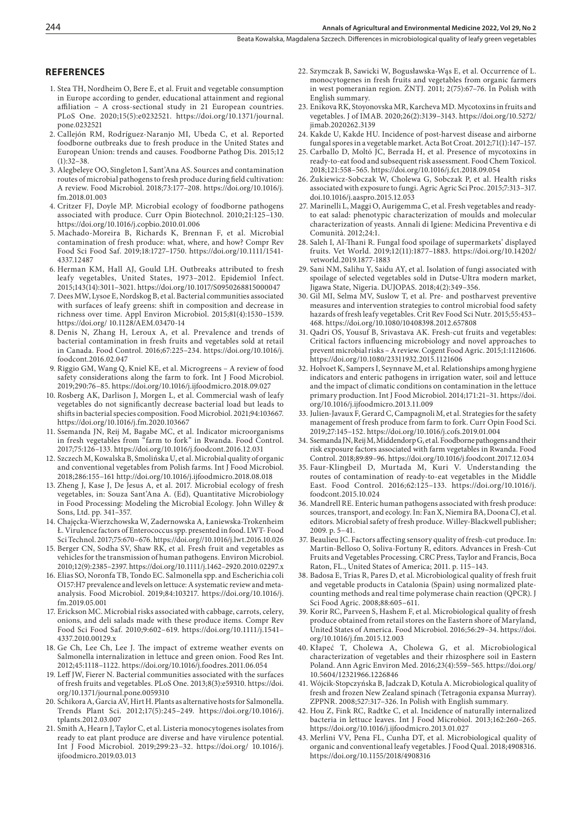#### **REFERENCES**

- 1. Stea TH, Nordheim O, Bere E, et al. Fruit and vegetable consumption in Europe according to gender, educational attainment and regional affiliation – A cross-sectional study in 21 European countries. PLoS One. 2020;15(5):e0232521. https://doi.org/10.1371/journal. pone.0232521
- 2. Callejón RM, Rodríguez-Naranjo MI, Ubeda C, et al. Reported foodborne outbreaks due to fresh produce in the United States and European Union: trends and causes. Foodborne Pathog Dis. 2015;12  $(1):32-38.$
- 3. Alegbeleye OO, Singleton I, Sant'Ana AS. Sources and contamination routes of microbial pathogens to fresh produce during field cultivation: A review. Food Microbiol. 2018;73:177–208. https://doi.org/10.1016/j. fm.2018.01.003
- 4. Critzer FJ, Doyle MP. Microbial ecology of foodborne pathogens associated with produce. Curr Opin Biotechnol. 2010;21:125–130. https://doi.org/10.1016/j.copbio.2010.01.006
- 5. Machado-Moreira B, Richards K, Brennan F, et al. Microbial contamination of fresh produce: what, where, and how? Compr Rev Food Sci Food Saf. 2019;18:1727–1750. https://doi.org/10.1111/1541- 4337.12487
- 6. Herman KM, Hall AJ, Gould LH. Outbreaks attributed to fresh leafy vegetables, United States, 1973–2012. Epidemiol Infect. 2015;143(14):3011–3021. https://doi.org/10.1017/S0950268815000047
- 7. Dees MW, Lysoe E, Nordskog B, et al. Bacterial communities associated with surfaces of leafy greens: shift in composition and decrease in richness over time. Appl Environ Microbiol. 2015;81(4):1530–1539. https://doi.org/ 10.1128/AEM.03470-14
- 8. Denis N, Zhang H, Leroux A, et al. Prevalence and trends of bacterial contamination in fresh fruits and vegetables sold at retail in Canada. Food Control. 2016;67:225–234. https://doi.org/10.1016/j. foodcont.2016.02.047
- 9. Riggio GM, Wang Q, Kniel KE, et al. Microgreens A review of food safety considerations along the farm to fork. Int J Food Microbiol. 2019;290:76–85. https://doi.org/10.1016/j.ijfoodmicro.2018.09.027
- 10. Rosberg AK, Darlison J, Morgen L, et al. Commercial wash of leafy vegetables do not significantly decrease bacterial load but leads to shifts in bacterial species composition. Food Microbiol. 2021;94:103667. https://doi.org/10.1016/j.fm.2020.103667
- 11. Ssemanda JN, Reij M, Bagabe MC, et al. Indicator microorganisms in fresh vegetables from "farm to fork" in Rwanda. Food Control. 2017;75:126–133. https://doi.org/10.1016/j.foodcont.2016.12.031
- 12. Szczech M, Kowalska B, Smolińska U, et al. Microbial quality of organic and conventional vegetables from Polish farms. Int J Food Microbiol. 2018;286:155–161 http://doi.org/10.1016/j.ijfoodmicro.2018.08.018
- 13. Zheng J, Kase J, De Jesus A, et al. 2017. Microbial ecology of fresh vegetables, in: Souza Sant'Ana A. (Ed), Quantitative Microbiology in Food Processing: Modeling the Microbial Ecology. John Willey & Sons, Ltd. pp. 341–357.
- 14. Chajęcka-Wierzchowska W, Zadernowska A, Łaniewska-Trokenheim Ł. Virulence factors of Enterococcus spp. presented in food. LWT- Food Sci Technol. 2017;75:670–676. https://doi.org//10.1016/j.lwt.2016.10.026
- 15. Berger CN, Sodha SV, Shaw RK, et al. Fresh fruit and vegetables as vehicles for the transmission of human pathogens. Environ Microbiol. 2010;12(9):2385–2397. https://doi.org/10.1111/j.1462–2920.2010.02297.x
- 16. Elias SO, Noronfa TB, Tondo EC. Salmonella spp. and Escherichia coli O157:H7 prevalence and levels on lettuce: A systematic review and metaanalysis. Food Microbiol. 2019;84:103217. https://doi.org/10.1016/j. fm.2019.05.001
- 17. Erickson MC. Microbial risks associated with cabbage, carrots, celery, onions, and deli salads made with these produce items. Compr Rev Food Sci Food Saf. 2010;9:602–619. https://doi.org/10.1111/j.1541– 4337.2010.00129.x
- 18. Ge Ch, Lee Ch, Lee J. The impact of extreme weather events on Salmonella internalization in lettuce and green onion. Food Res Int. 2012;45:1118–1122. https://doi.org/10.1016/j.foodres.2011.06.054
- 19. Leff JW, Fierer N. Bacterial communities associated with the surfaces of fresh fruits and vegetables. PLoS One. 2013;8(3):e59310. https://doi. org/10.1371/journal.pone.0059310
- 20. Schikora A, Garcia AV, Hirt H. Plants as alternative hosts for Salmonella. Trends Plant Sci. 2012;17(5):245–249. https://doi.org/10.1016/j. tplants.2012.03.007
- 21. Smith A, Hearn J, Taylor C, et al. Listeria monocytogenes isolates from ready to eat plant produce are diverse and have virulence potential. Int J Food Microbiol. 2019;299:23–32. https://doi.org/ 10.1016/j. ijfoodmicro.2019.03.013
- 22. Szymczak B, Sawicki W, Bogusławska-Wąs E, et al. Occurrence of L. monocytogenes in fresh fruits and vegetables from organic farmers in west pomeranian region. ŻNTJ. 2011; 2(75):67–76. In Polish with English summary.
- 23. Enikova RK, Stoyonovska MR, Karcheva MD. Mycotoxins in fruits and vegetables. J of IMAB. 2020;26(2):3139–3143. https://doi.org/10.5272/ jimab.2020262.3139
- 24. Kakde U, Kakde HU. Incidence of post-harvest disease and airborne fungal spores in a vegetable market. Acta Bot Croat. 2012;71(1):147–157.
- 25. Carballo D, Moltό JC, Berrada H, et al. Presence of mycotoxins in ready-to-eat food and subsequent risk assessment. Food Chem Toxicol. 2018;121:558–565. https://doi.org/10.1016/j.fct.2018.09.054
- 26. Żukiewicz-Sobczak W, Cholewa G, Sobczak P, et al. Health risks associated with exposure to fungi. Agric Agric Sci Proc. 2015;7:313–317. doi.10.1016/j.aaspro.2015.12.053
- 27. Marinelli L, Maggi O, Aurigemma C, et al. Fresh vegetables and readyto eat salad: phenotypic characterization of moulds and molecular characterization of yeasts. Annali di Igiene: Medicina Preventiva e di Comunità. 2012;24:1.
- 28. Saleh I, Al-Thani R. Fungal food spoilage of supermarkets' displayed fruits. Vet World. 2019;12(11):1877–1883. https://doi.org/10.14202/ vetworld.2019.1877-1883
- 29. Sani NM, Salihu Y, Saidu AY, et al. Isolation of fungi associated with spoilage of selected vegetables sold in Dutse-Ultra modern market, Jigawa State, Nigeria. DUJOPAS. 2018;4(2):349–356.
- 30. Gil MI, Selma MV, Suslow T, et al. Pre- and postharvest preventive measures and intervention strategies to control microbial food safety hazards of fresh leafy vegetables. Crit Rev Food Sci Nutr. 2015;55:453– 468. https://doi.org/10.1080/10408398.2012.657808
- 31. Qadri OS, Yousuf B, Srivastava AK. Fresh-cut fruits and vegetables: Critical factors influencing microbiology and novel approaches to prevent microbial risks – A review. Cogent Food Agric. 2015;1:1121606. https://doi.org/10.1080/23311932.2015.1121606
- 32. Holvoet K, Sampers I, Seynnave M, et al. Relationships among hygiene indicators and enteric pathogens in irrigation water, soil and lettuce and the impact of climatic conditions on contamination in the lettuce primary production. Int J Food Microbiol. 2014;171:21–31. https://doi. org/10.1016/j.ijfoodmicro.2013.11.009
- 33. Julien-Javaux F, Gerard C, Campagnoli M, et al. Strategies for the safety management of fresh produce from farm to fork. Curr Opin Food Sci. 2019;27:145–152. https://doi.org/10.1016/j.cofs.2019.01.004
- 34. Ssemanda JN, Reij M, Middendorp G, et al. Foodborne pathogens and their risk exposure factors associated with farm vegetables in Rwanda. Food Control. 2018;89:89–96. https://doi.org/10.1016/j.foodcont.2017.12.034
- 35. Faur-Klingbeil D, Murtada M, Kuri V. Understanding the routes of contamination of ready-to-eat vegetables in the Middle East. Food Control. 2016;62:125–133. https://doi.org/10.1016/j. foodcont.2015.10.024
- 36. Mandrell RE. Enteric human pathogens associated with fresh produce: sources, transport, and ecology. In: Fan X, Niemira BA, Doona CJ, et al. editors. Microbial safety of fresh produce. Willey-Blackwell publisher; 2009. p. 5–41.
- 37. Beaulieu JC. Factors affecting sensory quality of fresh-cut produce. In: Martin-Belloso O, Soliva-Fortuny R, editors. Advances in Fresh-Cut Fruits and Vegetables Processing. CRC Press, Taylor and Francis, Boca Raton, FL., United States of America; 2011. p. 115–143.
- 38. Badosa E, Trias R, Pares D, et al. Microbiological quality of fresh fruit and vegetable products in Catalonia (Spain) using normalized platecounting methods and real time polymerase chain reaction (QPCR). J Sci Food Agric. 2008;88:605–611.
- 39. Korir RC, Parveen S, Hashem F, et al. Microbiological quality of fresh produce obtained from retail stores on the Eastern shore of Maryland, United States of America. Food Microbiol. 2016;56:29–34. https://doi. org/10.1016/j.fm.2015.12.003
- 40. Kłapeć T, Cholewa A, Cholewa G, et al. Microbiological characterization of vegetables and their rhizosphere soil in Eastern Poland. Ann Agric Environ Med. 2016;23(4):559–565. https://doi.org/ 10.5604/12321966.1226846
- 41. Wójcik-Stopczyńska B, Jadczak D, Kotula A. Microbiological quality of fresh and frozen New Zealand spinach (Tetragonia expansa Murray). ZPPNR. 2008;527:317–326. In Polish with English summary.
- 42. Hou Z, Fink RC, Radtke C, et al. Incidence of naturally internalized bacteria in lettuce leaves. Int J Food Microbiol. 2013;162:260–265. https://doi.org/10.1016/j.ijfoodmicro.2013.01.027
- 43. Merlini VV, Pena FL, Cunha DT, et al. Microbiological quality of organic and conventional leafy vegetables. J Food Qual. 2018;4908316. https://doi.org/10.1155/2018/4908316